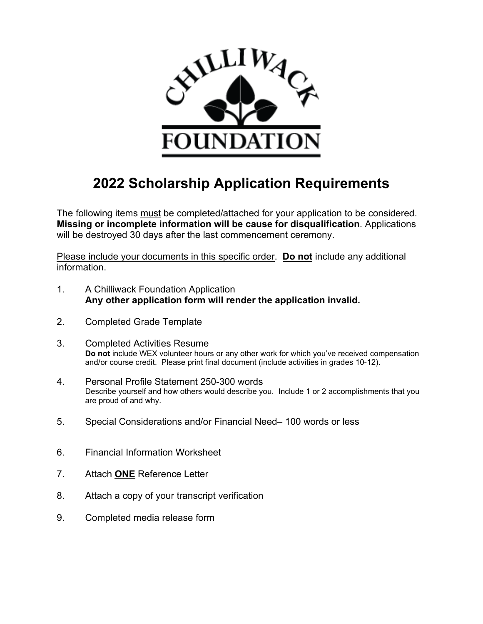

# **2022 Scholarship Application Requirements**

The following items must be completed/attached for your application to be considered. **Missing or incomplete information will be cause for disqualification**. Applications will be destroyed 30 days after the last commencement ceremony.

Please include your documents in this specific order. **Do not** include any additional information.

- 1. A Chilliwack Foundation Application **Any other application form will render the application invalid.**
- 2. Completed Grade Template
- 3. Completed Activities Resume **Do not** include WEX volunteer hours or any other work for which you've received compensation and/or course credit. Please print final document (include activities in grades 10-12).
- 4. Personal Profile Statement 250-300 words Describe yourself and how others would describe you. Include 1 or 2 accomplishments that you are proud of and why.
- 5. Special Considerations and/or Financial Need– 100 words or less
- 6. Financial Information Worksheet
- 7. Attach **ONE** Reference Letter
- 8. Attach a copy of your transcript verification
- 9. Completed media release form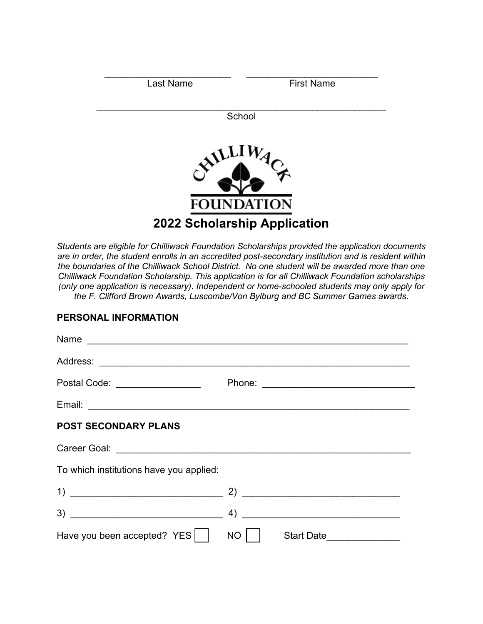| <b>Last Name</b>                                         | <b>First Name</b> |
|----------------------------------------------------------|-------------------|
|                                                          | School            |
| ALLIVA                                                   |                   |
| <b>FOUNDATION</b><br><b>2022 Scholarship Application</b> |                   |

*Students are eligible for Chilliwack Foundation Scholarships provided the application documents are in order, the student enrolls in an accredited post-secondary institution and is resident within the boundaries of the Chilliwack School District. No one student will be awarded more than one Chilliwack Foundation Scholarship. This application is for all Chilliwack Foundation scholarships (only one application is necessary). Independent or home-schooled students may only apply for the F. Clifford Brown Awards, Luscombe/Von Bylburg and BC Summer Games awards.* 

#### **PERSONAL INFORMATION**

| Name                                    |                         |
|-----------------------------------------|-------------------------|
|                                         |                         |
| Postal Code: _________________          |                         |
|                                         |                         |
| <b>POST SECONDARY PLANS</b>             |                         |
|                                         |                         |
| To which institutions have you applied: |                         |
|                                         |                         |
|                                         |                         |
| Have you been accepted? $YES$           | <b>NO</b><br>Start Date |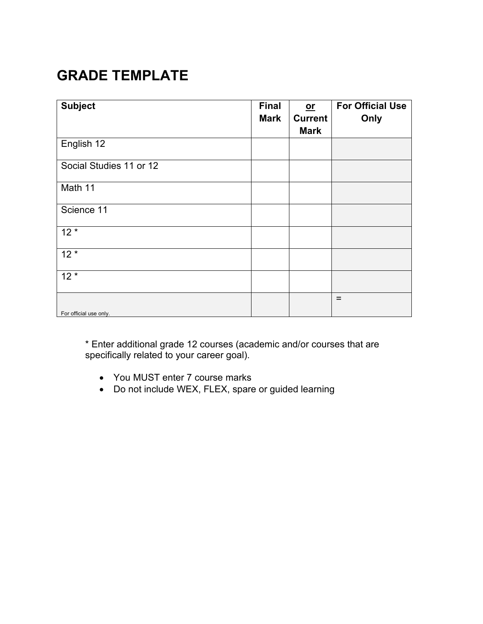# **GRADE TEMPLATE**

| <b>Subject</b>          | <b>Final</b><br><b>Mark</b> | $or$<br><b>Current</b><br><b>Mark</b> | <b>For Official Use</b><br>Only |
|-------------------------|-----------------------------|---------------------------------------|---------------------------------|
| English 12              |                             |                                       |                                 |
| Social Studies 11 or 12 |                             |                                       |                                 |
| Math 11                 |                             |                                       |                                 |
| Science 11              |                             |                                       |                                 |
| $12*$                   |                             |                                       |                                 |
| $12*$                   |                             |                                       |                                 |
| $12*$                   |                             |                                       |                                 |
| For official use only.  |                             |                                       | $=$                             |

\* Enter additional grade 12 courses (academic and/or courses that are specifically related to your career goal).

- You MUST enter 7 course marks
- Do not include WEX, FLEX, spare or guided learning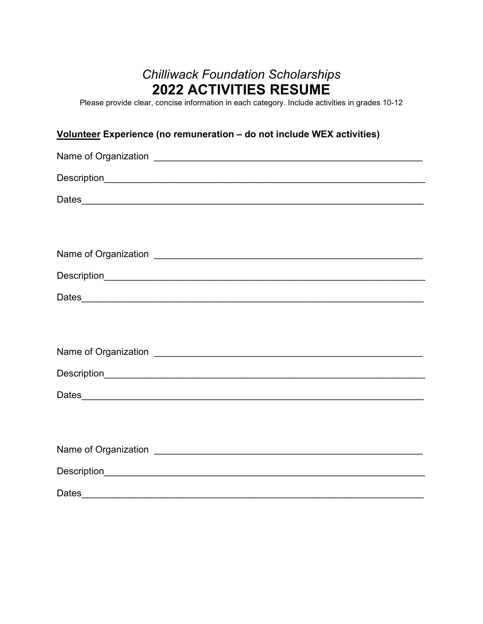## *Chilliwack Foundation Scholarships*  **2022 ACTIVITIES RESUME**

Please provide clear, concise information in each category. Include activities in grades 10-12

### **Volunteer Experience (no remuneration – do not include WEX activities)**

| Name of Organization <b>contract to the contract of Contract and Contract of Contract of Contract of Contract of Contract of Contract of Contract of Contract of Contract of Contract of Contract of Contract of Contract of Con</b> |
|--------------------------------------------------------------------------------------------------------------------------------------------------------------------------------------------------------------------------------------|
|                                                                                                                                                                                                                                      |
|                                                                                                                                                                                                                                      |
|                                                                                                                                                                                                                                      |
|                                                                                                                                                                                                                                      |
| Name of Organization <b>contracts</b> and the contract of Organization and the contract of the contract of the contract of the contract of the contract of the contract of the contract of the contract of the contract of the cont  |
|                                                                                                                                                                                                                                      |
|                                                                                                                                                                                                                                      |
|                                                                                                                                                                                                                                      |
|                                                                                                                                                                                                                                      |
|                                                                                                                                                                                                                                      |
|                                                                                                                                                                                                                                      |
|                                                                                                                                                                                                                                      |
|                                                                                                                                                                                                                                      |
|                                                                                                                                                                                                                                      |
|                                                                                                                                                                                                                                      |
|                                                                                                                                                                                                                                      |
| <b>Dates</b>                                                                                                                                                                                                                         |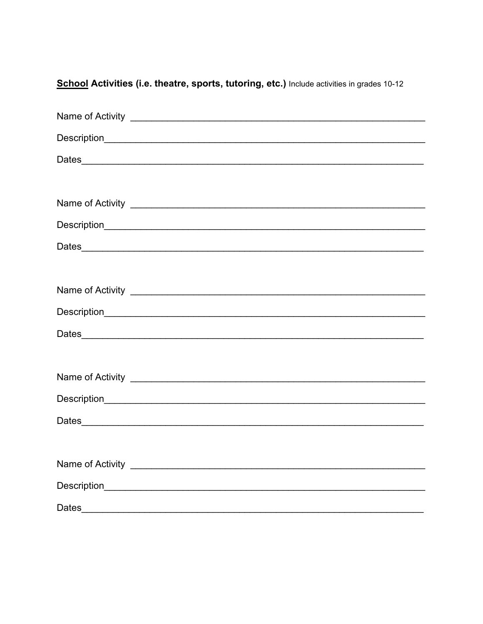| Dates |
|-------|

School Activities (i.e. theatre, sports, tutoring, etc.) Include activities in grades 10-12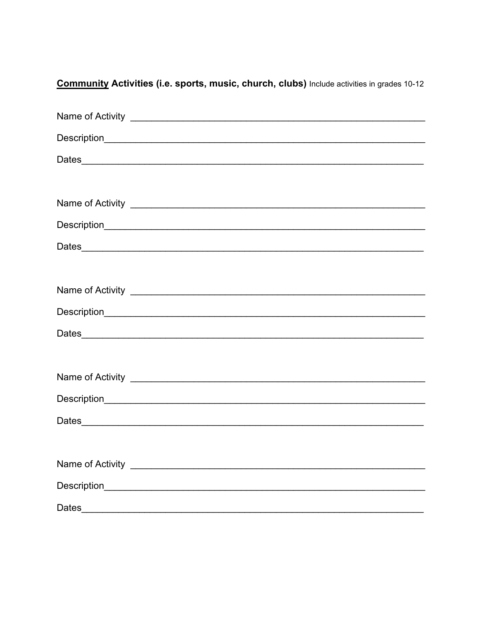| Dates |
|-------|

Community Activities (i.e. sports, music, church, clubs) Include activities in grades 10-12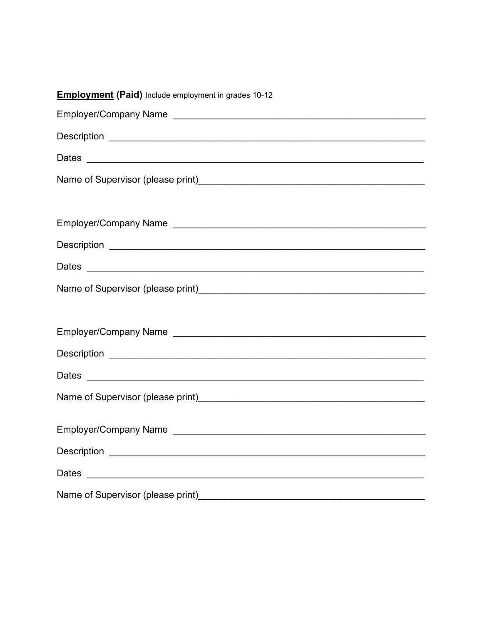| <b>Employment (Paid)</b> Include employment in grades 10-12            |  |
|------------------------------------------------------------------------|--|
|                                                                        |  |
|                                                                        |  |
|                                                                        |  |
|                                                                        |  |
|                                                                        |  |
|                                                                        |  |
|                                                                        |  |
|                                                                        |  |
|                                                                        |  |
|                                                                        |  |
|                                                                        |  |
|                                                                        |  |
|                                                                        |  |
|                                                                        |  |
|                                                                        |  |
|                                                                        |  |
|                                                                        |  |
| Name of Supervisor (please print)<br>Name of Supervisor (please print) |  |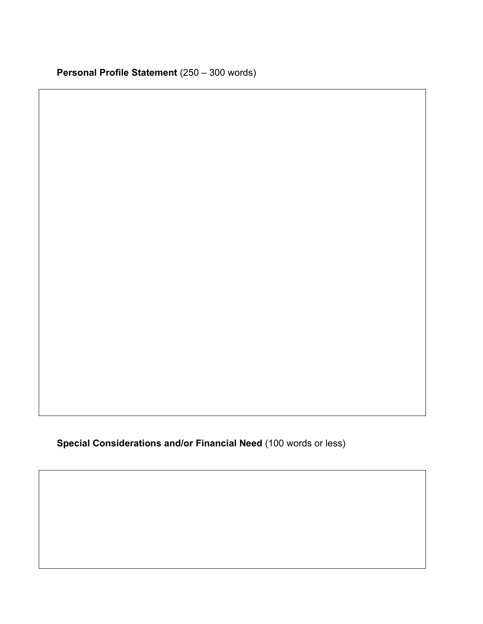**Special Considerations and/or Financial Need** (100 words or less)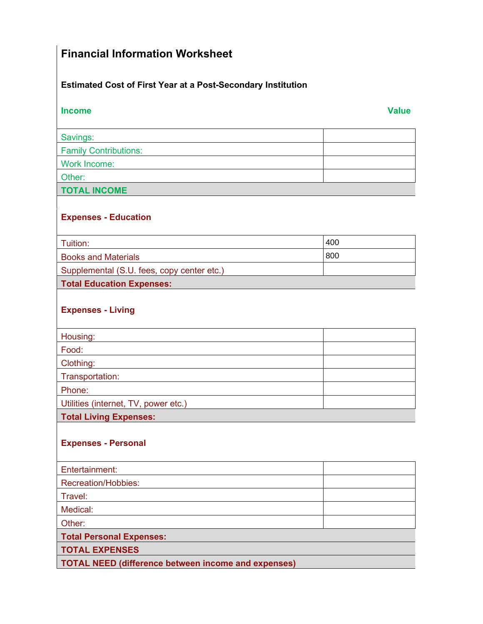## **Financial Information Worksheet**

### **Estimated Cost of First Year at a Post-Secondary Institution**

| <b>Income</b>                                              | <b>Value</b> |
|------------------------------------------------------------|--------------|
| Savings:                                                   |              |
| <b>Family Contributions:</b>                               |              |
| <b>Work Income:</b>                                        |              |
| Other:                                                     |              |
| <b>TOTAL INCOME</b>                                        |              |
|                                                            |              |
| <b>Expenses - Education</b>                                |              |
| Tuition:                                                   | 400          |
| <b>Books and Materials</b>                                 | 800          |
| Supplemental (S.U. fees, copy center etc.)                 |              |
| <b>Total Education Expenses:</b>                           |              |
| <b>Expenses - Living</b>                                   |              |
| Housing:                                                   |              |
| Food:                                                      |              |
| Clothing:                                                  |              |
| Transportation:                                            |              |
| Phone:                                                     |              |
| Utilities (internet, TV, power etc.)                       |              |
| <b>Total Living Expenses:</b>                              |              |
| <b>Expenses - Personal</b>                                 |              |
| Entertainment:                                             |              |
| Recreation/Hobbies:                                        |              |
| Travel:                                                    |              |
| Medical:                                                   |              |
| Other:                                                     |              |
| <b>Total Personal Expenses:</b>                            |              |
| <b>TOTAL EXPENSES</b>                                      |              |
| <b>TOTAL NEED (difference between income and expenses)</b> |              |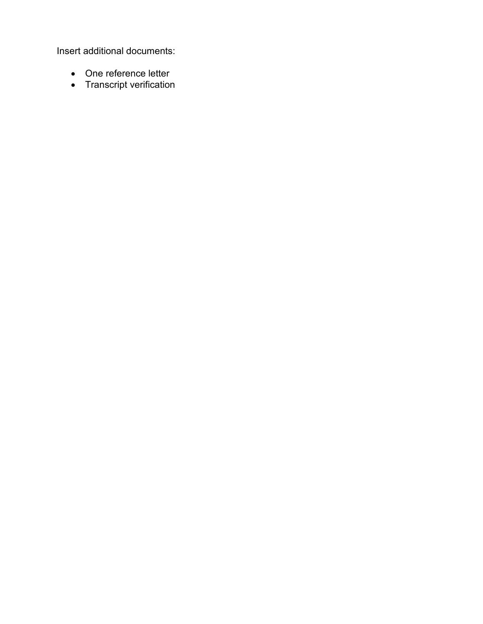Insert additional documents:

- One reference letter
- Transcript verification